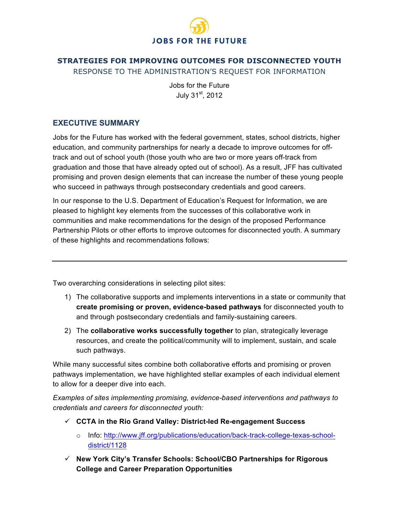

# **STRATEGIES FOR IMPROVING OUTCOMES FOR DISCONNECTED YOUTH** RESPONSE TO THE ADMINISTRATION'S REQUEST FOR INFORMATION

Jobs for the Future July 31st, 2012

### **EXECUTIVE SUMMARY**

Jobs for the Future has worked with the federal government, states, school districts, higher education, and community partnerships for nearly a decade to improve outcomes for offtrack and out of school youth (those youth who are two or more years off-track from graduation and those that have already opted out of school). As a result, JFF has cultivated promising and proven design elements that can increase the number of these young people who succeed in pathways through postsecondary credentials and good careers.

In our response to the U.S. Department of Education's Request for Information, we are pleased to highlight key elements from the successes of this collaborative work in communities and make recommendations for the design of the proposed Performance Partnership Pilots or other efforts to improve outcomes for disconnected youth. A summary of these highlights and recommendations follows:

Two overarching considerations in selecting pilot sites:

- 1) The collaborative supports and implements interventions in a state or community that **create promising or proven, evidence-based pathways** for disconnected youth to and through postsecondary credentials and family-sustaining careers.
- 2) The **collaborative works successfully together** to plan, strategically leverage resources, and create the political/community will to implement, sustain, and scale such pathways.

While many successful sites combine both collaborative efforts and promising or proven pathways implementation, we have highlighted stellar examples of each individual element to allow for a deeper dive into each.

*Examples of sites implementing promising, evidence-based interventions and pathways to credentials and careers for disconnected youth:*

- **CCTA in the Rio Grand Valley: District-led Re-engagement Success**
	- o Info: http://www.jff.org/publications/education/back-track-college-texas-schooldistrict/1128
- **New York City's Transfer Schools: School/CBO Partnerships for Rigorous College and Career Preparation Opportunities**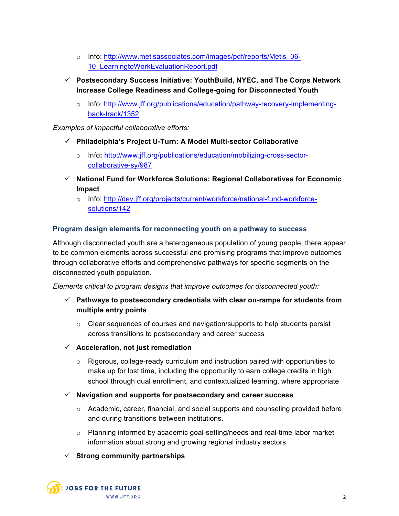- o Info: http://www.metisassociates.com/images/pdf/reports/Metis\_06- 10\_LearningtoWorkEvaluationReport.pdf
- **Postsecondary Success Initiative: YouthBuild, NYEC, and The Corps Network Increase College Readiness and College-going for Disconnected Youth** 
	- o Info: http://www.jff.org/publications/education/pathway-recovery-implementingback-track/1352

*Examples of impactful collaborative efforts:*

- **Philadelphia's Project U-Turn: A Model Multi-sector Collaborative**
	- o Info**:** http://www.jff.org/publications/education/mobilizing-cross-sectorcollaborative-sy/987
- **National Fund for Workforce Solutions: Regional Collaboratives for Economic Impact** 
	- o Info: http://dev.jff.org/projects/current/workforce/national-fund-workforcesolutions/142

### **Program design elements for reconnecting youth on a pathway to success**

Although disconnected youth are a heterogeneous population of young people, there appear to be common elements across successful and promising programs that improve outcomes through collaborative efforts and comprehensive pathways for specific segments on the disconnected youth population.

*Elements critical to program designs that improve outcomes for disconnected youth:* 

- **Pathways to postsecondary credentials with clear on-ramps for students from multiple entry points**
	- $\circ$  Clear sequences of courses and navigation/supports to help students persist across transitions to postsecondary and career success
- **Acceleration, not just remediation**
	- $\circ$  Rigorous, college-ready curriculum and instruction paired with opportunities to make up for lost time, including the opportunity to earn college credits in high school through dual enrollment, and contextualized learning, where appropriate
- **Navigation and supports for postsecondary and career success**
	- o Academic, career, financial, and social supports and counseling provided before and during transitions between institutions.
	- o Planning informed by academic goal-setting/needs and real-time labor market information about strong and growing regional industry sectors

### **Strong community partnerships**

**JOBS FOR THE FUTURE** WWW.JFF.ORG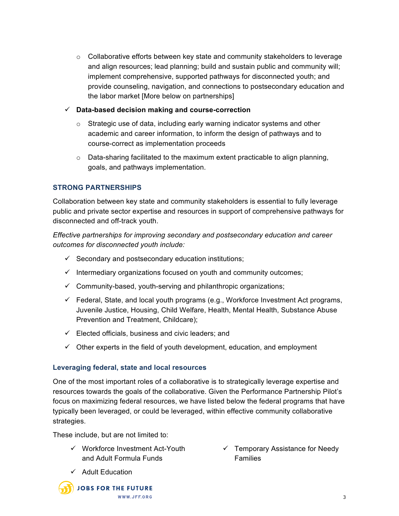- $\circ$  Collaborative efforts between key state and community stakeholders to leverage and align resources; lead planning; build and sustain public and community will; implement comprehensive, supported pathways for disconnected youth; and provide counseling, navigation, and connections to postsecondary education and the labor market [More below on partnerships]
- **Data-based decision making and course-correction**
	- $\circ$  Strategic use of data, including early warning indicator systems and other academic and career information, to inform the design of pathways and to course-correct as implementation proceeds
	- o Data-sharing facilitated to the maximum extent practicable to align planning, goals, and pathways implementation.

### **STRONG PARTNERSHIPS**

Collaboration between key state and community stakeholders is essential to fully leverage public and private sector expertise and resources in support of comprehensive pathways for disconnected and off-track youth.

*Effective partnerships for improving secondary and postsecondary education and career outcomes for disconnected youth include:*

- $\checkmark$  Secondary and postsecondary education institutions;
- $\checkmark$  Intermediary organizations focused on youth and community outcomes;
- $\checkmark$  Community-based, youth-serving and philanthropic organizations;
- $\checkmark$  Federal, State, and local youth programs (e.g., Workforce Investment Act programs, Juvenile Justice, Housing, Child Welfare, Health, Mental Health, Substance Abuse Prevention and Treatment, Childcare);
- $\checkmark$  Elected officials, business and civic leaders; and
- $\checkmark$  Other experts in the field of youth development, education, and employment

#### **Leveraging federal, state and local resources**

One of the most important roles of a collaborative is to strategically leverage expertise and resources towards the goals of the collaborative. Given the Performance Partnership Pilot's focus on maximizing federal resources, we have listed below the federal programs that have typically been leveraged, or could be leveraged, within effective community collaborative strategies.

These include, but are not limited to:

- $\checkmark$  Workforce Investment Act-Youth and Adult Formula Funds
- $\checkmark$  Temporary Assistance for Needy Families

 $\checkmark$  Adult Education

**JOBS FOR THE FUTURE** WWW.JFF.ORG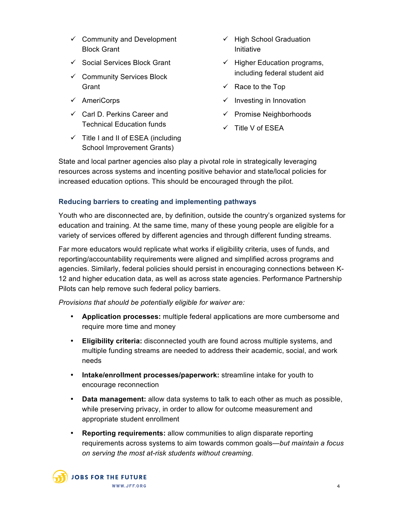- $\checkmark$  Community and Development Block Grant
- $\checkmark$  Social Services Block Grant
- $\checkmark$  Community Services Block **Grant**
- $\checkmark$  AmeriCorps
- $\checkmark$  Carl D. Perkins Career and Technical Education funds
- $\checkmark$  Title I and II of ESEA (including School Improvement Grants)
- $\checkmark$  High School Graduation Initiative
- $\checkmark$  Higher Education programs, including federal student aid
- $\checkmark$  Race to the Top
- $\checkmark$  Investing in Innovation
- $\checkmark$  Promise Neighborhoods
- $\checkmark$  Title V of ESEA

State and local partner agencies also play a pivotal role in strategically leveraging resources across systems and incenting positive behavior and state/local policies for increased education options. This should be encouraged through the pilot.

### **Reducing barriers to creating and implementing pathways**

Youth who are disconnected are, by definition, outside the country's organized systems for education and training. At the same time, many of these young people are eligible for a variety of services offered by different agencies and through different funding streams.

Far more educators would replicate what works if eligibility criteria, uses of funds, and reporting/accountability requirements were aligned and simplified across programs and agencies. Similarly, federal policies should persist in encouraging connections between K-12 and higher education data, as well as across state agencies. Performance Partnership Pilots can help remove such federal policy barriers.

*Provisions that should be potentially eligible for waiver are:*

- **Application processes:** multiple federal applications are more cumbersome and require more time and money
- **Eligibility criteria:** disconnected youth are found across multiple systems, and multiple funding streams are needed to address their academic, social, and work needs
- **Intake/enrollment processes/paperwork:** streamline intake for youth to encourage reconnection
- **Data management:** allow data systems to talk to each other as much as possible, while preserving privacy, in order to allow for outcome measurement and appropriate student enrollment
- **Reporting requirements:** allow communities to align disparate reporting requirements across systems to aim towards common goals—*but maintain a focus on serving the most at-risk students without creaming.*

**JOBS FOR THE FUTURE** WWW.JFF.ORG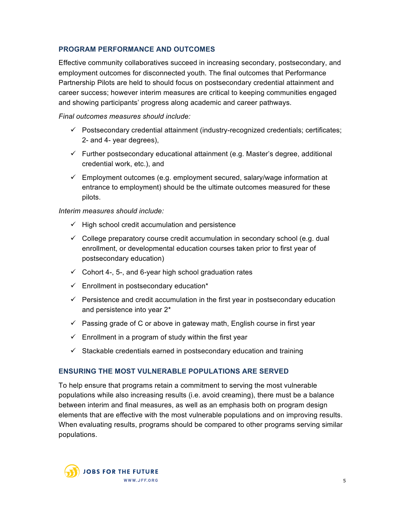# **PROGRAM PERFORMANCE AND OUTCOMES**

Effective community collaboratives succeed in increasing secondary, postsecondary, and employment outcomes for disconnected youth. The final outcomes that Performance Partnership Pilots are held to should focus on postsecondary credential attainment and career success; however interim measures are critical to keeping communities engaged and showing participants' progress along academic and career pathways.

*Final outcomes measures should include:*

- $\checkmark$  Postsecondary credential attainment (industry-recognized credentials; certificates; 2- and 4- year degrees),
- $\checkmark$  Further postsecondary educational attainment (e.g. Master's degree, additional credential work, etc.), and
- $\checkmark$  Employment outcomes (e.g. employment secured, salary/wage information at entrance to employment) should be the ultimate outcomes measured for these pilots.

*Interim measures should include:*

- $\checkmark$  High school credit accumulation and persistence
- $\checkmark$  College preparatory course credit accumulation in secondary school (e.g. dual enrollment, or developmental education courses taken prior to first year of postsecondary education)
- $\checkmark$  Cohort 4-, 5-, and 6-year high school graduation rates
- $\checkmark$  Enrollment in postsecondary education\*
- $\checkmark$  Persistence and credit accumulation in the first year in postsecondary education and persistence into year 2\*
- $\checkmark$  Passing grade of C or above in gateway math, English course in first year
- $\checkmark$  Enrollment in a program of study within the first year
- $\checkmark$  Stackable credentials earned in postsecondary education and training

# **ENSURING THE MOST VULNERABLE POPULATIONS ARE SERVED**

To help ensure that programs retain a commitment to serving the most vulnerable populations while also increasing results (i.e. avoid creaming), there must be a balance between interim and final measures, as well as an emphasis both on program design elements that are effective with the most vulnerable populations and on improving results. When evaluating results, programs should be compared to other programs serving similar populations.